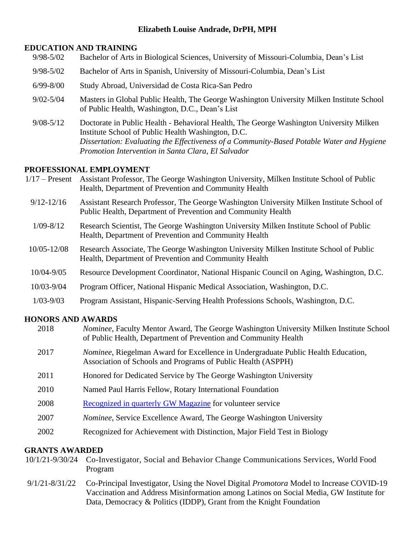# **Elizabeth Louise Andrade, DrPH, MPH**

### **EDUCATION AND TRAINING**

- 9/98-5/02 Bachelor of Arts in Biological Sciences, University of Missouri-Columbia, Dean's List
- 9/98-5/02 Bachelor of Arts in Spanish, University of Missouri-Columbia, Dean's List
- 6/99-8/00 Study Abroad, Universidad de Costa Rica-San Pedro
- 9/02-5/04 Masters in Global Public Health, The George Washington University Milken Institute School of Public Health, Washington, D.C., Dean's List
- 9/08-5/12 Doctorate in Public Health Behavioral Health, The George Washington University Milken Institute School of Public Health Washington, D.C. *Dissertation: Evaluating the Effectiveness of a Community-Based Potable Water and Hygiene Promotion Intervention in Santa Clara, El Salvador*

# **PROFESSIONAL EMPLOYMENT**

- 1/17 Present Assistant Professor, The George Washington University, Milken Institute School of Public Health, Department of Prevention and Community Health
	- 9/12-12/16 Assistant Research Professor, The George Washington University Milken Institute School of Public Health, Department of Prevention and Community Health
	- 1/09-8/12 Research Scientist, The George Washington University Milken Institute School of Public Health, Department of Prevention and Community Health
- 10/05-12/08 Research Associate, The George Washington University Milken Institute School of Public Health, Department of Prevention and Community Health
- 10/04-9/05 Resource Development Coordinator, National Hispanic Council on Aging, Washington, D.C.
- 10/03-9/04 Program Officer, National Hispanic Medical Association, Washington, D.C.
- 1/03-9/03 Program Assistant, Hispanic-Serving Health Professions Schools, Washington, D.C.

# **HONORS AND AWARDS**

| 2018 | <i>Nominee</i> , Faculty Mentor Award, The George Washington University Milken Institute School<br>of Public Health, Department of Prevention and Community Health |
|------|--------------------------------------------------------------------------------------------------------------------------------------------------------------------|
| 2017 | Nominee, Riegelman Award for Excellence in Undergraduate Public Health Education,<br>Association of Schools and Programs of Public Health (ASPPH)                  |
| 2011 | Honored for Dedicated Service by The George Washington University                                                                                                  |
| 2010 | Named Paul Harris Fellow, Rotary International Foundation                                                                                                          |
| 2008 | Recognized in quarterly GW Magazine for volunteer service                                                                                                          |
| 2007 | <i>Nominee</i> , Service Excellence Award, The George Washington University                                                                                        |
| 2002 | Recognized for Achievement with Distinction, Major Field Test in Biology                                                                                           |
|      |                                                                                                                                                                    |

# **GRANTS AWARDED**

- 10/1/21-9/30/24 Co-Investigator, Social and Behavior Change Communications Services, World Food Program
- 9/1/21-8/31/22 Co-Principal Investigator, Using the Novel Digital *Promotora* Model to Increase COVID-19 Vaccination and Address Misinformation among Latinos on Social Media, GW Institute for Data, Democracy & Politics (IDDP), Grant from the Knight Foundation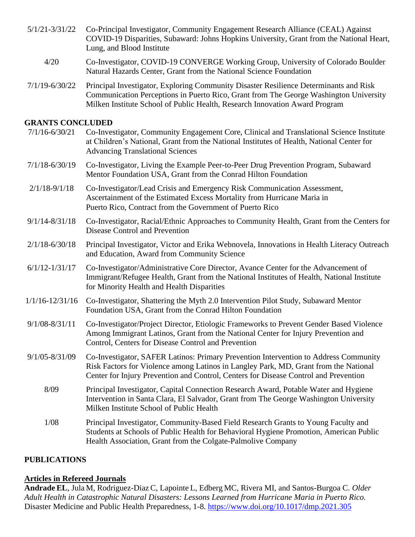- 5/1/21-3/31/22 Co-Principal Investigator, Community Engagement Research Alliance (CEAL) Against COVID-19 Disparities, Subaward: Johns Hopkins University, Grant from the National Heart, Lung, and Blood Institute
	- 4/20 Co-Investigator, COVID-19 CONVERGE Working Group, University of Colorado Boulder Natural Hazards Center, Grant from the National Science Foundation
- 7/1/19-6/30/22 Principal Investigator, Exploring Community Disaster Resilience Determinants and Risk Communication Perceptions in Puerto Rico, Grant from The George Washington University Milken Institute School of Public Health, Research Innovation Award Program

### **GRANTS CONCLUDED**

- 7/1/16-6/30/21 Co-Investigator, Community Engagement Core, Clinical and Translational Science Institute at Children's National, Grant from the National Institutes of Health, National Center for Advancing Translational Sciences
- 7/1/18-6/30/19 Co-Investigator, Living the Example Peer-to-Peer Drug Prevention Program, Subaward Mentor Foundation USA, Grant from the Conrad Hilton Foundation
- 2/1/18-9/1/18 Co-Investigator/Lead Crisis and Emergency Risk Communication Assessment, Ascertainment of the Estimated Excess Mortality from Hurricane Maria in Puerto Rico, Contract from the Government of Puerto Rico
- 9/1/14-8/31/18 Co-Investigator, Racial/Ethnic Approaches to Community Health, Grant from the Centers for Disease Control and Prevention
- 2/1/18-6/30/18 Principal Investigator, Victor and Erika Webnovela, Innovations in Health Literacy Outreach and Education, Award from Community Science
- 6/1/12-1/31/17 Co-Investigator/Administrative Core Director, Avance Center for the Advancement of Immigrant/Refugee Health, Grant from the National Institutes of Health, National Institute for Minority Health and Health Disparities  $\overline{a}$
- 1/1/16-12/31/16 Co-Investigator, Shattering the Myth 2.0 Intervention Pilot Study, Subaward Mentor Foundation USA, Grant from the Conrad Hilton Foundation
- 9/1/08-8/31/11 Co-Investigator/Project Director, Etiologic Frameworks to Prevent Gender Based Violence Among Immigrant Latinos, Grant from the National Center for Injury Prevention and Control, Centers for Disease Control and Prevention
- 9/1/05-8/31/09 Co-Investigator, SAFER Latinos: Primary Prevention Intervention to Address Community Risk Factors for Violence among Latinos in Langley Park, MD, Grant from the National Center for Injury Prevention and Control, Centers for Disease Control and Prevention
	- 8/09 Principal Investigator, Capital Connection Research Award, Potable Water and Hygiene Intervention in Santa Clara, El Salvador, Grant from The George Washington University Milken Institute School of Public Health
	- 1/08 Principal Investigator, Community-Based Field Research Grants to Young Faculty and Students at Schools of Public Health for Behavioral Hygiene Promotion, American Public Health Association, Grant from the Colgate-Palmolive Company

# **PUBLICATIONS**

#### **Articles in Refereed Journals**

**Andrade EL**, Jula M, Rodriguez-Diaz C, Lapointe L, Edberg MC, Rivera MI, and Santos-Burgoa C. *Older Adult Health in Catastrophic Natural Disasters: Lessons Learned from Hurricane Maria in Puerto Rico.* Disaster Medicine and Public Health Preparedness, 1-8.<https://www.doi.org/10.1017/dmp.2021.305>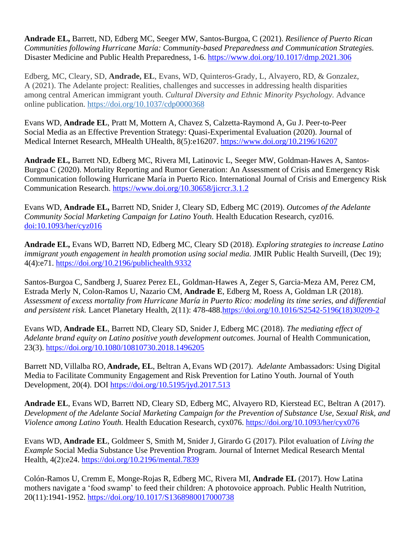**Andrade EL,** Barrett, ND, Edberg MC, Seeger MW, Santos-Burgoa, C (2021). *Resilience of Puerto Rican Communities following Hurricane María: Community-based Preparedness and Communication Strategies.* Disaster Medicine and Public Health Preparedness, 1-6. <https://www.doi.org/10.1017/dmp.2021.306>

Edberg, MC, Cleary, SD, **Andrade, EL**, Evans, WD, Quinteros-Grady, L, Alvayero, RD, & Gonzalez, A (2021). The Adelante project: Realities, challenges and successes in addressing health disparities among central American immigrant youth. *Cultural Diversity and Ethnic Minority Psychology.* Advance online publication. [https://doi.org/10.1037/cdp0000368](https://psycnet.apa.org/doi/10.1037/cdp0000368)

Evans WD, **Andrade EL**, Pratt M, Mottern A, Chavez S, Calzetta-Raymond A, Gu J. Peer-to-Peer Social Media as an Effective Prevention Strategy: Quasi-Experimental Evaluation (2020). Journal of Medical Internet Research, MHealth UHealth, 8(5):e16207. <https://www.doi.org/10.2196/16207>

**Andrade EL,** Barrett ND, Edberg MC, Rivera MI, Latinovic L, Seeger MW, Goldman-Hawes A, Santos-Burgoa C (2020). Mortality Reporting and Rumor Generation: An Assessment of Crisis and Emergency Risk Communication following Hurricane María in Puerto Rico. International Journal of Crisis and Emergency Risk Communication Research. <https://www.doi.org/10.30658/jicrcr.3.1.2>

Evans WD, **Andrade EL,** Barrett ND, Snider J, Cleary SD, Edberg MC (2019). *Outcomes of the Adelante Community Social Marketing Campaign for Latino Youth.* Health Education Research, cyz016. [doi:10.1093/her/cyz016](https://doi.org/10.1093/her/cyz016)

**Andrade EL,** Evans WD, Barrett ND, Edberg MC, Cleary SD (2018). *Exploring strategies to increase Latino immigrant youth engagement in health promotion using social media.* JMIR Public Health Surveill, (Dec 19); 4(4):e71. <https://doi.org/10.2196/publichealth.9332>

Santos-Burgoa C, Sandberg J, Suarez Perez EL, Goldman-Hawes A, Zeger S, Garcia-Meza AM, Perez CM, Estrada Merly N, Colon-Ramos U, Nazario CM, **Andrade E**, Edberg M, Roess A, Goldman LR (2018). *Assessment of excess mortality from Hurricane María in Puerto Rico: modeling its time series, and differential and persistent risk.* Lancet Planetary Health, 2(11): 478-488[.https://doi.org/10.1016/S2542-5196\(18\)30209-2](https://doi.org/10.1016/S2542-5196(18)30209-2)

Evans WD, **Andrade EL**, Barrett ND, Cleary SD, Snider J, Edberg MC (2018). *The mediating effect of Adelante brand equity on Latino positive youth development outcomes.* Journal of Health Communication, 23(3). <https://doi.org/10.1080/10810730.2018.1496205>

Barrett ND, Villalba RO, **Andrade, EL**, Beltran A, Evans WD (2017). *Adelante* Ambassadors: Using Digital Media to Facilitate Community Engagement and Risk Prevention for Latino Youth. Journal of Youth Development, 20(4). DOI <https://doi.org/10.5195/jyd.2017.513>

**Andrade EL**, Evans WD, Barrett ND, Cleary SD, Edberg MC, Alvayero RD, Kierstead EC, Beltran A (2017). *Development of the Adelante Social Marketing Campaign for the Prevention of Substance Use, Sexual Risk, and Violence among Latino Youth.* Health Education Research, cyx076. <https://doi.org/10.1093/her/cyx076>

Evans WD, **Andrade EL**, Goldmeer S, Smith M, Snider J, Girardo G (2017). Pilot evaluation of *Living the Example* Social Media Substance Use Prevention Program. Journal of Internet Medical Research Mental Health, 4(2):e24. <https://doi.org/10.2196/mental.7839>

Colón-Ramos U, Cremm E, Monge-Rojas R, Edberg MC, Rivera MI, **Andrade EL** (2017). How Latina mothers navigate a 'food swamp' to feed their children: A photovoice approach. Public Health Nutrition, 20(11):1941-1952. <https://doi.org/10.1017/S1368980017000738>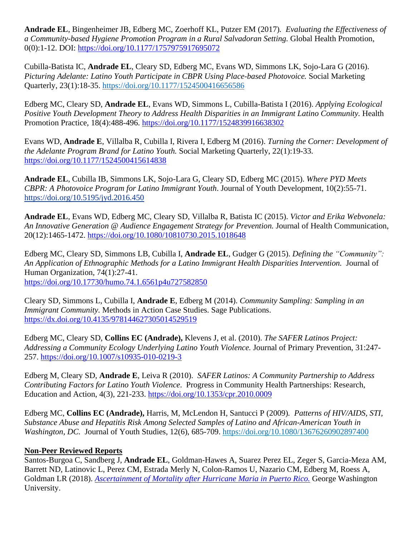**Andrade EL**, Bingenheimer JB, Edberg MC, Zoerhoff KL, Putzer EM (2017)*. Evaluating the Effectiveness of a Community-based Hygiene Promotion Program in a Rural Salvadoran Setting.* Global Health Promotion, 0(0):1-12. DOI:<https://doi.org/10.1177/1757975917695072>

Cubilla-Batista IC, **Andrade EL**, Cleary SD, Edberg MC, Evans WD, Simmons LK, Sojo-Lara G (2016). *Picturing Adelante: Latino Youth Participate in CBPR Using Place-based Photovoice.* Social Marketing Quarterly, 23(1):18-35. [https://doi.org/10.1177/1524500416656586](https://doi.org/10.1177%2F1524500416656586)

Edberg MC, Cleary SD, **Andrade EL**, Evans WD, Simmons L, Cubilla-Batista I (2016). *Applying Ecological Positive Youth Development Theory to Address Health Disparities in an Immigrant Latino Community.* Health Promotion Practice, 18(4):488-496. <https://doi.org/10.1177/1524839916638302>

Evans WD, **Andrade E**, Villalba R, Cubilla I, Rivera I, Edberg M (2016). *Turning the Corner: Development of the Adelante Program Brand for Latino Youth.* Social Marketing Quarterly, 22(1):19-33. <https://doi.org/10.1177/1524500415614838>

**Andrade EL**, Cubilla IB, Simmons LK, Sojo-Lara G, Cleary SD, Edberg MC (2015). *Where PYD Meets CBPR: A Photovoice Program for Latino Immigrant Youth*. Journal of Youth Development, 10(2):55-71. <https://doi.org/10.5195/jyd.2016.450>

**Andrade EL**, Evans WD, Edberg MC, Cleary SD, Villalba R, Batista IC (2015). *Victor and Erika Webvonela: An Innovative Generation @ Audience Engagement Strategy for Prevention.* Journal of Health Communication, 20(12):1465-1472. <https://doi.org/10.1080/10810730.2015.1018648>

Edberg MC, Cleary SD, Simmons LB, Cubilla I, **Andrade EL**, Gudger G (2015). *Defining the "Community": An Application of Ethnographic Methods for a Latino Immigrant Health Disparities Intervention.* Journal of Human Organization, 74(1):27-41. <https://doi.org/10.17730/humo.74.1.6561p4u727582850>

Cleary SD, Simmons L, Cubilla I, **Andrade E**, Edberg M (2014). *Community Sampling: Sampling in an Immigrant Community. Methods in Action Case Studies. Sage Publications.* <https://dx.doi.org/10.4135/978144627305014529519>

Edberg MC, Cleary SD, **Collins EC (Andrade),** Klevens J, et al. (2010). *The SAFER Latinos Project: Addressing a Community Ecology Underlying Latino Youth Violence.* Journal of Primary Prevention, 31:247- 257. <https://doi.org/10.1007/s10935-010-0219-3>

Edberg M, Cleary SD, **Andrade E**, Leiva R (2010). *SAFER Latinos: A Community Partnership to Address Contributing Factors for Latino Youth Violence*. Progress in Community Health Partnerships: Research, Education and Action, 4(3), 221-233. <https://doi.org/10.1353/cpr.2010.0009>

Edberg MC, **Collins EC (Andrade),** Harris, M, McLendon H, Santucci P (2009)*. Patterns of HIV/AIDS, STI, Substance Abuse and Hepatitis Risk Among Selected Samples of Latino and African-American Youth in Washington, DC.* Journal of Youth Studies, 12(6), 685-709. <https://doi.org/10.1080/13676260902897400>

# **Non-Peer Reviewed Reports**

Santos-Burgoa C, Sandberg J, **Andrade EL**, Goldman-Hawes A, Suarez Perez EL, Zeger S, Garcia-Meza AM, Barrett ND, Latinovic L, Perez CM, Estrada Merly N, Colon-Ramos U, Nazario CM, Edberg M, Roess A, Goldman LR (2018). *[Ascertainment of Mortality after Hurricane Maria in Puerto Rico.](https://publichealth.gwu.edu/sites/default/files/downloads/projects/PRstudy/Acertainment%20of%20the%20Estimated%20Excess%20Mortality%20from%20Hurricane%20Maria%20in%20Puerto%20Rico.pdf)* George Washington University.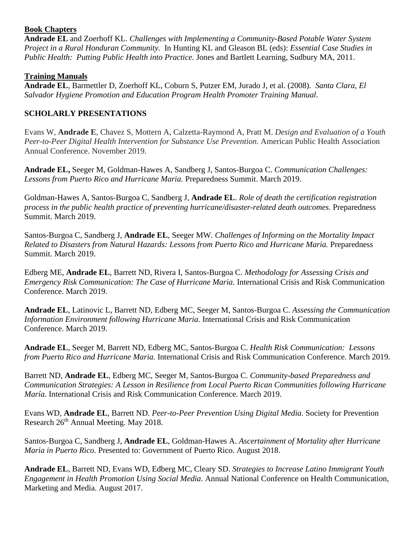### **Book Chapters**

**Andrade EL** and Zoerhoff KL. *Challenges with Implementing a Community-Based Potable Water System Project in a Rural Honduran Community.* In Hunting KL and Gleason BL (eds): *Essential Case Studies in Public Health: Putting Public Health into Practice.* Jones and Bartlett Learning, Sudbury MA, 2011.

### **Training Manuals**

**Andrade EL**, Barmettler D, Zoerhoff KL, Coburn S, Putzer EM, Jurado J, et al. (2008). *Santa Clara, El Salvador Hygiene Promotion and Education Program Health Promoter Training Manual*.

# **SCHOLARLY PRESENTATIONS**

Evans W, **Andrade E**, Chavez S, Mottern A, Calzetta-Raymond A, Pratt M. *Design and Evaluation of a Youth Peer-to-Peer Digital Health Intervention for Substance Use Prevention.* American Public Health Association Annual Conference. November 2019.

**Andrade EL,** Seeger M, Goldman-Hawes A, Sandberg J, Santos-Burgoa C. *Communication Challenges: Lessons from Puerto Rico and Hurricane Maria.* Preparedness Summit. March 2019.

Goldman-Hawes A, Santos-Burgoa C, Sandberg J, **Andrade EL**. *Role of death the certification registration process in the public health practice of preventing hurricane/disaster-related death outcomes.* Preparedness Summit. March 2019.

Santos-Burgoa C, Sandberg J, **Andrade EL**, Seeger MW. *Challenges of Informing on the Mortality Impact Related to Disasters from Natural Hazards: Lessons from Puerto Rico and Hurricane Maria.* Preparedness Summit. March 2019.

Edberg ME, **Andrade EL**, Barrett ND, Rivera I, Santos-Burgoa C. *Methodology for Assessing Crisis and Emergency Risk Communication: The Case of Hurricane Maria.* International Crisis and Risk Communication Conference. March 2019.

**Andrade EL**, Latinovic L, Barrett ND, Edberg MC, Seeger M, Santos-Burgoa C. *Assessing the Communication Information Environment following Hurricane Maria.* International Crisis and Risk Communication Conference. March 2019.

**Andrade EL**, Seeger M, Barrett ND, Edberg MC, Santos-Burgoa C. *Health Risk Communication: Lessons from Puerto Rico and Hurricane Maria.* International Crisis and Risk Communication Conference. March 2019.

Barrett ND, **Andrade EL**, Edberg MC, Seeger M, Santos-Burgoa C. *Community-based Preparedness and Communication Strategies: A Lesson in Resilience from Local Puerto Rican Communities following Hurricane María.* International Crisis and Risk Communication Conference. March 2019.

Evans WD, **Andrade EL**, Barrett ND. *Peer-to-Peer Prevention Using Digital Media.* Society for Prevention Research  $26<sup>th</sup>$  Annual Meeting. May 2018.

Santos-Burgoa C, Sandberg J, **Andrade EL**, Goldman-Hawes A. *Ascertainment of Mortality after Hurricane Maria in Puerto Rico*. Presented to: Government of Puerto Rico. August 2018.

**Andrade EL**, Barrett ND, Evans WD, Edberg MC, Cleary SD. *Strategies to Increase Latino Immigrant Youth Engagement in Health Promotion Using Social Media*. Annual National Conference on Health Communication, Marketing and Media. August 2017.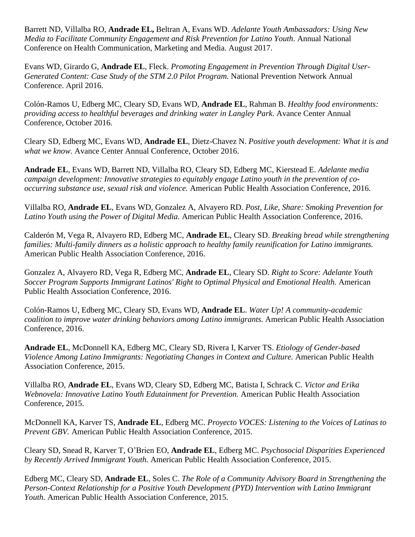Barrett ND, Villalba RO, **Andrade EL,** Beltran A, Evans WD. *Adelante Youth Ambassadors: Using New Media to Facilitate Community Engagement and Risk Prevention for Latino Youth*. Annual National Conference on Health Communication, Marketing and Media. August 2017.

Evans WD, Girardo G, **Andrade EL**, Fleck. *Promoting Engagement in Prevention Through Digital User-Generated Content: Case Study of the STM 2.0 Pilot Program.* National Prevention Network Annual Conference. April 2016.

Colón-Ramos U, Edberg MC, Cleary SD, Evans WD, **Andrade EL**, Rahman B. *Healthy food environments: providing access to healthful beverages and drinking water in Langley Park*. Avance Center Annual Conference, October 2016.

Cleary SD, Edberg MC, Evans WD, **Andrade EL**, Dietz-Chavez N. *Positive youth development: What it is and what we know.* Avance Center Annual Conference, October 2016.

**Andrade EL**, Evans WD, Barrett ND, Villalba RO, Cleary SD, Edberg MC, Kierstead E. *Adelante media campaign development: Innovative strategies to equitably engage Latino youth in the prevention of cooccurring substance use, sexual risk and violence.* American Public Health Association Conference, 2016.

Villalba RO, **Andrade EL**, Evans WD, Gonzalez A, Alvayero RD. *Post, Like, Share: Smoking Prevention for Latino Youth using the Power of Digital Media.* American Public Health Association Conference, 2016.

Calderón M, Vega R, Alvayero RD, Edberg MC, **Andrade EL**, Cleary SD. *Breaking bread while strengthening families: Multi-family dinners as a holistic approach to healthy family reunification for Latino immigrants.*  American Public Health Association Conference, 2016.

Gonzalez A, Alvayero RD, Vega R, Edberg MC, **Andrade EL**, Cleary SD. *Right to Score: Adelante Youth Soccer Program Supports Immigrant Latinos' Right to Optimal Physical and Emotional Health.* American Public Health Association Conference, 2016.

Colón-Ramos U, Edberg MC, Cleary SD, Evans WD, **Andrade EL**. *Water Up! A community-academic coalition to improve water drinking behaviors among Latino immigrants.* American Public Health Association Conference, 2016.

**Andrade EL**, McDonnell KA, Edberg MC, Cleary SD, Rivera I, Karver TS. *Etiology of Gender-based Violence Among Latino Immigrants: Negotiating Changes in Context and Culture.* American Public Health Association Conference, 2015.

Villalba RO, **Andrade EL**, Evans WD, Cleary SD, Edberg MC, Batista I, Schrack C. *Victor and Erika Webnovela: Innovative Latino Youth Edutainment for Prevention.* American Public Health Association Conference, 2015.

McDonnell KA, Karver TS, **Andrade EL**, Edberg MC. *Proyecto VOCES: Listening to the Voices of Latinas to Prevent GBV.* American Public Health Association Conference, 2015.

Cleary SD, Snead R, Karver T, O'Brien EO, **Andrade EL**, Edberg MC. *Psychosocial Disparities Experienced by Recently Arrived Immigrant Youth.* American Public Health Association Conference, 2015.

Edberg MC, Cleary SD, **Andrade EL**, Soles C. *The Role of a Community Advisory Board in Strengthening the Person-Context Relationship for a Positive Youth Development (PYD) Intervention with Latino Immigrant Youth.* American Public Health Association Conference, 2015.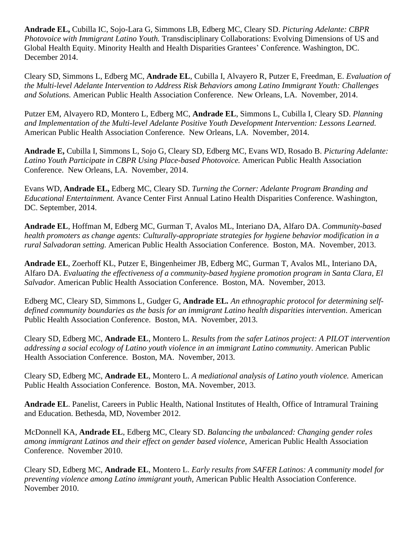**Andrade EL,** Cubilla IC, Sojo-Lara G, Simmons LB, Edberg MC, Cleary SD. *Picturing Adelante: CBPR Photovoice with Immigrant Latino Youth.* Transdisciplinary Collaborations: Evolving Dimensions of US and Global Health Equity. Minority Health and Health Disparities Grantees' Conference. Washington, DC. December 2014.

Cleary SD, Simmons L, Edberg MC, **Andrade EL**, Cubilla I, Alvayero R, Putzer E, Freedman, E. *Evaluation of the Multi-level Adelante Intervention to Address Risk Behaviors among Latino Immigrant Youth: Challenges and Solutions.* American Public Health Association Conference. New Orleans, LA. November, 2014.

Putzer EM, Alvayero RD, Montero L, Edberg MC, **Andrade EL**, Simmons L, Cubilla I, Cleary SD. *Planning and Implementation of the Multi-level Adelante Positive Youth Development Intervention: Lessons Learned.* American Public Health Association Conference. New Orleans, LA. November, 2014.

**Andrade E,** Cubilla I, Simmons L, Sojo G, Cleary SD, Edberg MC, Evans WD, Rosado B. *Picturing Adelante: Latino Youth Participate in CBPR Using Place-based Photovoice.* American Public Health Association Conference. New Orleans, LA. November, 2014.

Evans WD, **Andrade EL,** Edberg MC, Cleary SD. *Turning the Corner: Adelante Program Branding and Educational Entertainment.* Avance Center First Annual Latino Health Disparities Conference. Washington, DC. September, 2014.

**Andrade EL**, Hoffman M, Edberg MC, Gurman T, Avalos ML, Interiano DA, Alfaro DA. *Community-based health promoters as change agents: Culturally-appropriate strategies for hygiene behavior modification in a rural Salvadoran setting.* American Public Health Association Conference. Boston, MA. November, 2013.

**Andrade EL**, Zoerhoff KL, Putzer E, Bingenheimer JB, Edberg MC, Gurman T, Avalos ML, Interiano DA, Alfaro DA. *Evaluating the effectiveness of a community-based hygiene promotion program in Santa Clara, El Salvador.* American Public Health Association Conference. Boston, MA. November, 2013.

Edberg MC, Cleary SD, Simmons L, Gudger G, **Andrade EL***. An ethnographic protocol for determining selfdefined community boundaries as the basis for an immigrant Latino health disparities intervention*. American Public Health Association Conference. Boston, MA. November, 2013.

Cleary SD, Edberg MC, **Andrade EL**, Montero L. *Results from the safer Latinos project: A PILOT intervention addressing a social ecology of Latino youth violence in an immigrant Latino community*. American Public Health Association Conference. Boston, MA. November, 2013.

Cleary SD, Edberg MC, **Andrade EL**, Montero L. *A mediational analysis of Latino youth violence.* American Public Health Association Conference. Boston, MA. November, 2013.

**Andrade EL**. Panelist, Careers in Public Health, National Institutes of Health, Office of Intramural Training and Education. Bethesda, MD, November 2012.

McDonnell KA, **Andrade EL**, Edberg MC, Cleary SD. *Balancing the unbalanced: Changing gender roles among immigrant Latinos and their effect on gender based violence*, American Public Health Association Conference. November 2010.

Cleary SD, Edberg MC, **Andrade EL**, Montero L. *Early results from SAFER Latinos: A community model for preventing violence among Latino immigrant youth*, American Public Health Association Conference. November 2010.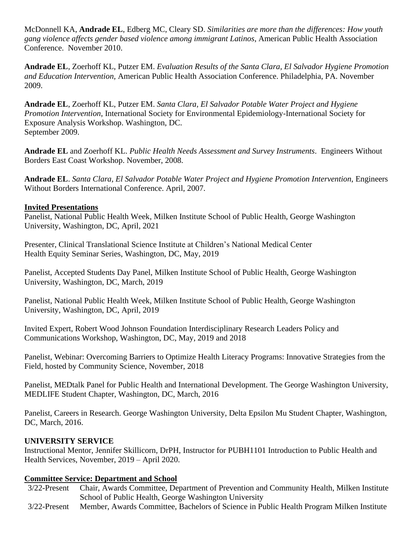McDonnell KA, **Andrade EL**, Edberg MC, Cleary SD. *Similarities are more than the differences: How youth gang violence affects gender based violence among immigrant Latinos*, American Public Health Association Conference. November 2010.

**Andrade EL**, Zoerhoff KL, Putzer EM. *Evaluation Results of the Santa Clara, El Salvador Hygiene Promotion and Education Intervention,* American Public Health Association Conference. Philadelphia, PA. November 2009.

**Andrade EL**, Zoerhoff KL, Putzer EM. *Santa Clara, El Salvador Potable Water Project and Hygiene Promotion Intervention*, International Society for Environmental Epidemiology-International Society for Exposure Analysis Workshop. Washington, DC. September 2009.

**Andrade EL** and Zoerhoff KL. *Public Health Needs Assessment and Survey Instruments*. Engineers Without Borders East Coast Workshop. November, 2008.

**Andrade EL**. *Santa Clara, El Salvador Potable Water Project and Hygiene Promotion Intervention*, Engineers Without Borders International Conference. April, 2007.

#### **Invited Presentations**

Panelist, National Public Health Week, Milken Institute School of Public Health, George Washington University, Washington, DC, April, 2021

Presenter, Clinical Translational Science Institute at Children's National Medical Center Health Equity Seminar Series, Washington, DC, May, 2019

Panelist, Accepted Students Day Panel, Milken Institute School of Public Health, George Washington University, Washington, DC, March, 2019

Panelist, National Public Health Week, Milken Institute School of Public Health, George Washington University, Washington, DC, April, 2019

Invited Expert, Robert Wood Johnson Foundation Interdisciplinary Research Leaders Policy and Communications Workshop, Washington, DC, May, 2019 and 2018

Panelist, Webinar: Overcoming Barriers to Optimize Health Literacy Programs: Innovative Strategies from the Field, hosted by Community Science, November, 2018

Panelist, MEDtalk Panel for Public Health and International Development. The George Washington University, MEDLIFE Student Chapter, Washington, DC, March, 2016

Panelist, Careers in Research. George Washington University, Delta Epsilon Mu Student Chapter, Washington, DC, March, 2016.

# **UNIVERSITY SERVICE**

Instructional Mentor, Jennifer Skillicorn, DrPH, Instructor for PUBH1101 Introduction to Public Health and Health Services, November, 2019 – April 2020.

# **Committee Service: Department and School**

- 3/22-Present Chair, Awards Committee, Department of Prevention and Community Health, Milken Institute School of Public Health, George Washington University
- 3/22-Present Member, Awards Committee, Bachelors of Science in Public Health Program Milken Institute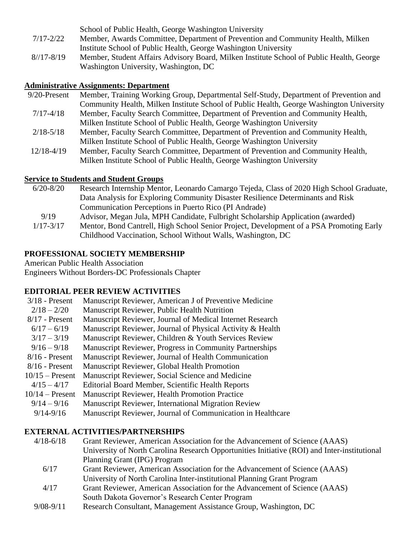|               | School of Public Health, George Washington University                                    |
|---------------|------------------------------------------------------------------------------------------|
| $7/17 - 2/22$ | Member, Awards Committee, Department of Prevention and Community Health, Milken          |
|               | Institute School of Public Health, George Washington University                          |
| $8/17 - 8/19$ | Member, Student Affairs Advisory Board, Milken Institute School of Public Health, George |
|               | Washington University, Washington, DC                                                    |

#### **Administrative Assignments: Department**

| $9/20$ -Present | Member, Training Working Group, Departmental Self-Study, Department of Prevention and    |
|-----------------|------------------------------------------------------------------------------------------|
|                 | Community Health, Milken Institute School of Public Health, George Washington University |
| $7/17 - 4/18$   | Member, Faculty Search Committee, Department of Prevention and Community Health,         |
|                 | Milken Institute School of Public Health, George Washington University                   |
| $2/18 - 5/18$   | Member, Faculty Search Committee, Department of Prevention and Community Health,         |
|                 | Milken Institute School of Public Health, George Washington University                   |
| $12/18 - 4/19$  | Member, Faculty Search Committee, Department of Prevention and Community Health,         |
|                 | Milken Institute School of Public Health, George Washington University                   |

#### **Service to Students and Student Groups**

| $6/20 - 8/20$ | Research Internship Mentor, Leonardo Camargo Tejeda, Class of 2020 High School Graduate, |
|---------------|------------------------------------------------------------------------------------------|
|               | Data Analysis for Exploring Community Disaster Resilience Determinants and Risk          |
|               | Communication Perceptions in Puerto Rico (PI Andrade)                                    |
| 9/19          | Advisor, Megan Jula, MPH Candidate, Fulbright Scholarship Application (awarded)          |
| $1/17 - 3/17$ | Mentor, Bond Cantrell, High School Senior Project, Development of a PSA Promoting Early  |
|               | Childhood Vaccination, School Without Walls, Washington, DC                              |

#### **PROFESSIONAL SOCIETY MEMBERSHIP**

American Public Health Association Engineers Without Borders-DC Professionals Chapter

### **EDITORIAL PEER REVIEW ACTIVITIES**

| $3/18$ - Present  | Manuscript Reviewer, American J of Preventive Medicine      |
|-------------------|-------------------------------------------------------------|
| $2/18 - 2/20$     | Manuscript Reviewer, Public Health Nutrition                |
| $8/17$ - Present  | Manuscript Reviewer, Journal of Medical Internet Research   |
| $6/17 - 6/19$     | Manuscript Reviewer, Journal of Physical Activity & Health  |
| $3/17 - 3/19$     | Manuscript Reviewer, Children & Youth Services Review       |
| $9/16 - 9/18$     | Manuscript Reviewer, Progress in Community Partnerships     |
| $8/16$ - Present  | Manuscript Reviewer, Journal of Health Communication        |
| $8/16$ - Present  | Manuscript Reviewer, Global Health Promotion                |
| $10/15$ – Present | Manuscript Reviewer, Social Science and Medicine            |
| $4/15 - 4/17$     | Editorial Board Member, Scientific Health Reports           |
| $10/14$ – Present | Manuscript Reviewer, Health Promotion Practice              |
| $9/14 - 9/16$     | Manuscript Reviewer, International Migration Review         |
| $9/14 - 9/16$     | Manuscript Reviewer, Journal of Communication in Healthcare |

#### **EXTERNAL ACTIVITIES/PARTNERSHIPS**

- 4/18-6/18 Grant Reviewer, American Association for the Advancement of Science (AAAS) University of North Carolina Research Opportunities Initiative (ROI) and Inter-institutional Planning Grant (IPG) Program
	- 6/17 Grant Reviewer, American Association for the Advancement of Science (AAAS) University of North Carolina Inter-institutional Planning Grant Program
	- 4/17 Grant Reviewer, American Association for the Advancement of Science (AAAS) South Dakota Governor's Research Center Program
- 9/08-9/11 Research Consultant, Management Assistance Group, Washington, DC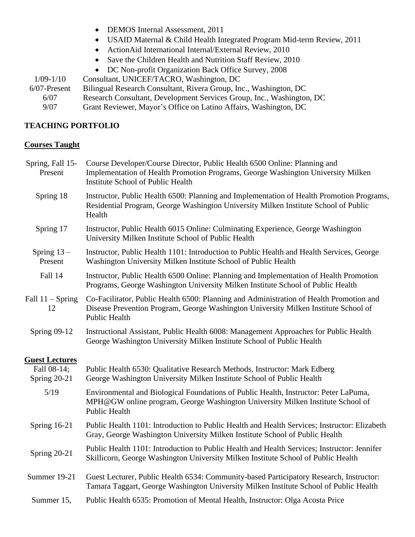- DEMOS Internal Assessment, 2011
- USAID Maternal & Child Health Integrated Program Mid-term Review, 2011
- ActionAid International Internal/External Review, 2010
- Save the Children Health and Nutrition Staff Review, 2010
- DC Non-profit Organization Back Office Survey, 2008

1/09-1/10 Consultant, UNICEF/TACRO, Washington, DC 6/07-Present Bilingual Research Consultant, Rivera Group, Inc., Washington, DC 6/07 Research Consultant, Development Services Group, Inc., Washington, DC 9/07 Grant Reviewer, Mayor's Office on Latino Affairs, Washington, DC

### **TEACHING PORTFOLIO**

#### **Courses Taught**

| Spring, Fall 15-<br>Present   | Course Developer/Course Director, Public Health 6500 Online: Planning and<br>Implementation of Health Promotion Programs, George Washington University Milken<br><b>Institute School of Public Health</b> |
|-------------------------------|-----------------------------------------------------------------------------------------------------------------------------------------------------------------------------------------------------------|
| Spring 18                     | Instructor, Public Health 6500: Planning and Implementation of Health Promotion Programs,<br>Residential Program, George Washington University Milken Institute School of Public<br>Health                |
| Spring 17                     | Instructor, Public Health 6015 Online: Culminating Experience, George Washington<br>University Milken Institute School of Public Health                                                                   |
| Spring $13-$<br>Present       | Instructor, Public Health 1101: Introduction to Public Health and Health Services, George<br>Washington University Milken Institute School of Public Health                                               |
| Fall 14                       | Instructor, Public Health 6500 Online: Planning and Implementation of Health Promotion<br>Programs, George Washington University Milken Institute School of Public Health                                 |
| Fall $11 -$ Spring<br>12      | Co-Facilitator, Public Health 6500: Planning and Administration of Health Promotion and<br>Disease Prevention Program, George Washington University Milken Institute School of<br><b>Public Health</b>    |
| <b>Spring 09-12</b>           | Instructional Assistant, Public Health 6008: Management Approaches for Public Health<br>George Washington University Milken Institute School of Public Health                                             |
| <b>Guest Lectures</b>         |                                                                                                                                                                                                           |
| Fall 08-14;<br>Spring $20-21$ | Public Health 6530: Qualitative Research Methods, Instructor: Mark Edberg<br>George Washington University Milken Institute School of Public Health                                                        |
| 5/19                          | Environmental and Biological Foundations of Public Health, Instructor: Peter LaPuma,<br>MPH@GW online program, George Washington University Milken Institute School of<br><b>Public Health</b>            |
| Spring $16-21$                | Public Health 1101: Introduction to Public Health and Health Services; Instructor: Elizabeth<br>Gray, George Washington University Milken Institute School of Public Health                               |
| Spring 20-21                  | Public Health 1101: Introduction to Public Health and Health Services; Instructor: Jennifer<br>Skillicorn, George Washington University Milken Institute School of Public Health                          |
| Summer 19-21                  | Guest Lecturer, Public Health 6534: Community-based Participatory Research, Instructor:<br>Tamara Taggart, George Washington University Milken Institute School of Public Health                          |
| Summer 15,                    | Public Health 6535: Promotion of Mental Health, Instructor: Olga Acosta Price                                                                                                                             |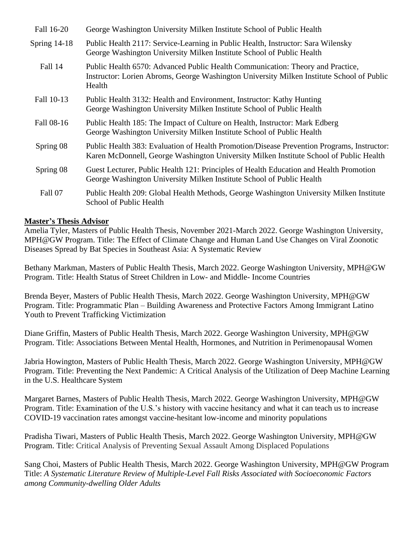| Fall 16-20     | George Washington University Milken Institute School of Public Health                                                                                                                 |
|----------------|---------------------------------------------------------------------------------------------------------------------------------------------------------------------------------------|
| Spring $14-18$ | Public Health 2117: Service-Learning in Public Health, Instructor: Sara Wilensky<br>George Washington University Milken Institute School of Public Health                             |
| Fall 14        | Public Health 6570: Advanced Public Health Communication: Theory and Practice,<br>Instructor: Lorien Abroms, George Washington University Milken Institute School of Public<br>Health |
| Fall 10-13     | Public Health 3132: Health and Environment, Instructor: Kathy Hunting<br>George Washington University Milken Institute School of Public Health                                        |
| Fall 08-16     | Public Health 185: The Impact of Culture on Health, Instructor: Mark Edberg<br>George Washington University Milken Institute School of Public Health                                  |
| Spring 08      | Public Health 383: Evaluation of Health Promotion/Disease Prevention Programs, Instructor:<br>Karen McDonnell, George Washington University Milken Institute School of Public Health  |
| Spring 08      | Guest Lecturer, Public Health 121: Principles of Health Education and Health Promotion<br>George Washington University Milken Institute School of Public Health                       |
| Fall 07        | Public Health 209: Global Health Methods, George Washington University Milken Institute<br>School of Public Health                                                                    |

#### **Master's Thesis Advisor**

Amelia Tyler, Masters of Public Health Thesis, November 2021-March 2022. George Washington University, MPH@GW Program. Title: The Effect of Climate Change and Human Land Use Changes on Viral Zoonotic Diseases Spread by Bat Species in Southeast Asia: A Systematic Review

Bethany Markman, Masters of Public Health Thesis, March 2022. George Washington University, MPH@GW Program. Title: Health Status of Street Children in Low- and Middle- Income Countries

Brenda Beyer, Masters of Public Health Thesis, March 2022. George Washington University, MPH@GW Program. Title: Programmatic Plan – Building Awareness and Protective Factors Among Immigrant Latino Youth to Prevent Trafficking Victimization

Diane Griffin, Masters of Public Health Thesis, March 2022. George Washington University, MPH@GW Program. Title: Associations Between Mental Health, Hormones, and Nutrition in Perimenopausal Women

Jabria Howington, Masters of Public Health Thesis, March 2022. George Washington University, MPH@GW Program. Title: Preventing the Next Pandemic: A Critical Analysis of the Utilization of Deep Machine Learning in the U.S. Healthcare System

Margaret Barnes, Masters of Public Health Thesis, March 2022. George Washington University, MPH@GW Program. Title: Examination of the U.S.'s history with vaccine hesitancy and what it can teach us to increase COVID-19 vaccination rates amongst vaccine-hesitant low-income and minority populations

Pradisha Tiwari, Masters of Public Health Thesis, March 2022. George Washington University, MPH@GW Program. Title: Critical Analysis of Preventing Sexual Assault Among Displaced Populations

Sang Choi, Masters of Public Health Thesis, March 2022. George Washington University, MPH@GW Program Title: *A Systematic Literature Review of Multiple-Level Fall Risks Associated with Socioeconomic Factors among Community-dwelling Older Adults*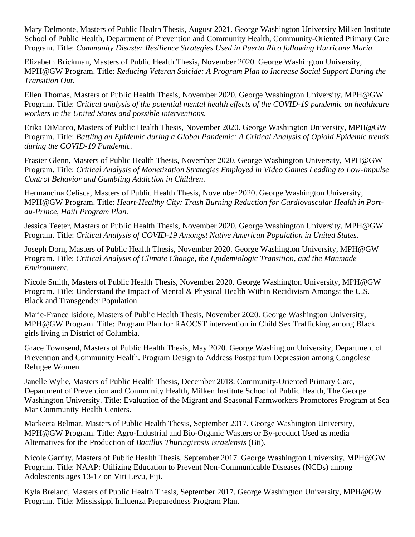Mary Delmonte, Masters of Public Health Thesis, August 2021. George Washington University Milken Institute School of Public Health, Department of Prevention and Community Health, Community-Oriented Primary Care Program. Title: *Community Disaster Resilience Strategies Used in Puerto Rico following Hurricane Maria.*

Elizabeth Brickman, Masters of Public Health Thesis, November 2020. George Washington University, MPH@GW Program. Title: *Reducing Veteran Suicide: A Program Plan to Increase Social Support During the Transition Out.*

Ellen Thomas, Masters of Public Health Thesis, November 2020. George Washington University, MPH@GW Program. Title: *Critical analysis of the potential mental health effects of the COVID-19 pandemic on healthcare workers in the United States and possible interventions.*

Erika DiMarco, Masters of Public Health Thesis, November 2020. George Washington University, MPH@GW Program. Title: *Battling an Epidemic during a Global Pandemic: A Critical Analysis of Opioid Epidemic trends during the COVID-19 Pandemic.*

Frasier Glenn, Masters of Public Health Thesis, November 2020. George Washington University, MPH@GW Program. Title: *Critical Analysis of Monetization Strategies Employed in Video Games Leading to Low-Impulse Control Behavior and Gambling Addiction in Children.*

Hermancina Celisca, Masters of Public Health Thesis, November 2020. George Washington University, MPH@GW Program. Title: *Heart-Healthy City: Trash Burning Reduction for Cardiovascular Health in Portau-Prince, Haiti Program Plan.*

Jessica Teeter, Masters of Public Health Thesis, November 2020. George Washington University, MPH@GW Program. Title: *Critical Analysis of COVID-19 Amongst Native American Population in United States.*

Joseph Dorn, Masters of Public Health Thesis, November 2020. George Washington University, MPH@GW Program. Title: *Critical Analysis of Climate Change, the Epidemiologic Transition, and the Manmade Environment.*

Nicole Smith, Masters of Public Health Thesis, November 2020. George Washington University, MPH@GW Program. Title: Understand the Impact of Mental & Physical Health Within Recidivism Amongst the U.S. Black and Transgender Population.

Marie-France Isidore, Masters of Public Health Thesis, November 2020. George Washington University, MPH@GW Program. Title: Program Plan for RAOCST intervention in Child Sex Trafficking among Black girls living in District of Columbia.

Grace Townsend, Masters of Public Health Thesis, May 2020. George Washington University, Department of Prevention and Community Health. Program Design to Address Postpartum Depression among Congolese Refugee Women

Janelle Wylie, Masters of Public Health Thesis, December 2018. Community-Oriented Primary Care, Department of Prevention and Community Health, Milken Institute School of Public Health, The George Washington University. Title: Evaluation of the Migrant and Seasonal Farmworkers Promotores Program at Sea Mar Community Health Centers.

Markeeta Belmar, Masters of Public Health Thesis, September 2017. George Washington University, MPH@GW Program. Title: Agro-Industrial and Bio-Organic Wasters or By-product Used as media Alternatives for the Production of *Bacillus Thuringiensis israelensis* (Bti).

Nicole Garrity, Masters of Public Health Thesis, September 2017. George Washington University, MPH@GW Program. Title: NAAP: Utilizing Education to Prevent Non-Communicable Diseases (NCDs) among Adolescents ages 13-17 on Viti Levu, Fiji.

Kyla Breland, Masters of Public Health Thesis, September 2017. George Washington University, MPH@GW Program. Title: Mississippi Influenza Preparedness Program Plan.